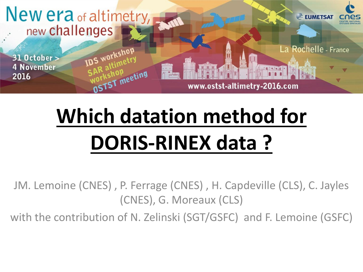

# **Which datation method for DORIS-RINEX data ?**

JM. Lemoine (CNES) , P. Ferrage (CNES) , H. Capdeville (CLS), C. Jayles (CNES), G. Moreaux (CLS)

with the contribution of N. Zelinski (SGT/GSFC) and F. Lemoine (GSFC)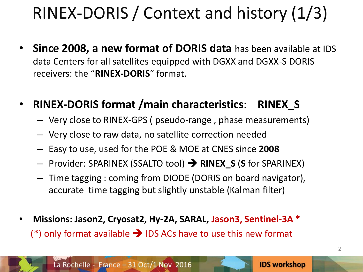## RINEX-DORIS / Context and history (1/3)

- **Since 2008, a new format of DORIS data** has been available at IDS data Centers for all satellites equipped with DGXX and DGXX-S DORIS receivers: the "**RINEX-DORIS**" format.
- **RINEX-DORIS format /main characteristics**: **RINEX\_S**
	- Very close to RINEX-GPS ( pseudo-range , phase measurements)
	- Very close to raw data, no satellite correction needed
	- Easy to use, used for the POE & MOE at CNES since **2008**
	- Provider: SPARINEX (SSALTO tool) **RINEX\_S** (**S** for SPARINEX)
	- Time tagging : coming from DIODE (DORIS on board navigator), accurate time tagging but slightly unstable (Kalman filter)
- **Missions: Jason2, Cryosat2, Hy-2A, SARAL, Jason3, Sentinel-3A \***  (\*) only format available  $\rightarrow$  IDS ACs have to use this new format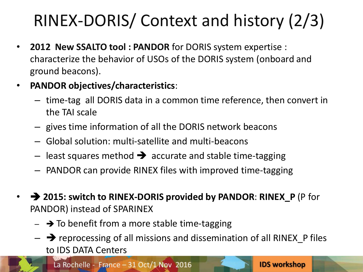## RINEX-DORIS/ Context and history (2/3)

- **2012 New SSALTO tool : PANDOR** for DORIS system expertise : characterize the behavior of USOs of the DORIS system (onboard and ground beacons).
- **PANDOR objectives/characteristics**:
	- time-tag all DORIS data in a common time reference, then convert in the TAI scale
	- gives time information of all the DORIS network beacons
	- Global solution: multi-satellite and multi-beacons
	- least squares method  $\rightarrow$  accurate and stable time-tagging
	- PANDOR can provide RINEX files with improved time-tagging
- **2015: switch to RINEX-DORIS provided by PANDOR**: **RINEX\_P** (P for PANDOR) instead of SPARINEX
	- $\rightarrow$  To benefit from a more stable time-tagging
	- $\rightarrow$  reprocessing of all missions and dissemination of all RINEX  $\overline{P}$  files to IDS DATA Centers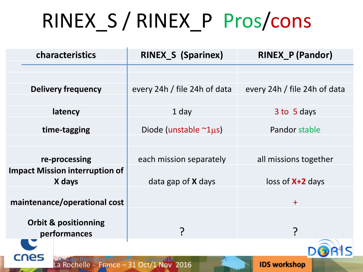# RINEX\_S / RINEX\_P Pros/cons

| characteristics                                 | <b>RINEX_S (Sparinex)</b>    | <b>RINEX_P (Pandor)</b>      |
|-------------------------------------------------|------------------------------|------------------------------|
|                                                 |                              |                              |
| <b>Delivery frequency</b>                       | every 24h / file 24h of data | every 24h / file 24h of data |
|                                                 |                              |                              |
| latency                                         | 1 day                        | 3 to 5 days                  |
| time-tagging                                    | Diode (unstable $\sim$ 1µs)  | Pandor stable                |
|                                                 |                              |                              |
| re-processing                                   | each mission separately      | all missions together        |
| <b>Impact Mission interruption of</b><br>X days | data gap of <b>X</b> days    | $loss of X+2 days$           |
| maintenance/operational cost                    |                              | $+$                          |
| <b>Orbit &amp; positionning</b><br>performances |                              | <u>ှ</u>                     |
|                                                 |                              |                              |
| <b>IDS workshop</b><br>31 Oct/1 Nov 2016        |                              |                              |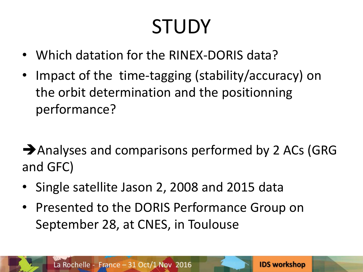# **STUDY**

- Which datation for the RINEX-DORIS data?
- Impact of the time-tagging (stability/accuracy) on the orbit determination and the positionning performance?

Analyses and comparisons performed by 2 ACs (GRG and GFC)

- Single satellite Jason 2, 2008 and 2015 data
- Presented to the DORIS Performance Group on September 28, at CNES, in Toulouse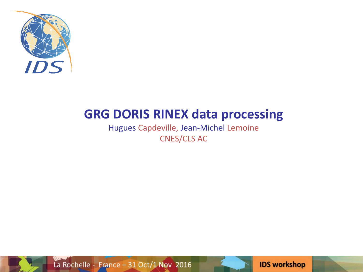

## **GRG DORIS RINEX data processing**

Hugues Capdeville, Jean-Michel Lemoine CNES/CLS AC



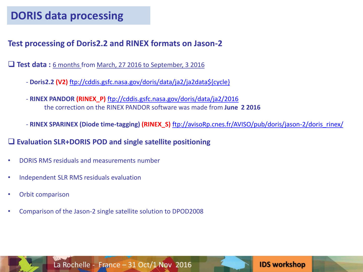#### **Test processing of Doris2.2 and RINEX formats on Jason-2**

**Test data:** 6 months from March, 27 2016 to September, 3 2016

- **Doris2.2 (V2)** [ftp://cddis.gsfc.nasa.gov/doris/data/ja2/ja2data\\${cycle}](ftp://cddis.gsfc.nasa.gov/doris/data/ja2/ja2data${cycle})
- **RINEX PANDOR (RINEX\_P)** <ftp://cddis.gsfc.nasa.gov/doris/data/ja2/2016> the correction on the RINEX PANDOR software was made from **June 2 2016**

- **RINEX SPARINEX (Diode time-tagging) (RINEX\_S)** [ftp://avisoRp.cnes.fr/AVISO/pub/doris/jason-2/doris\\_rinex/](ftp://avisorp.cnes.fr/AVISO/pub/doris/jason-2/doris_rinex/)

**IDS workshop** 

#### **Evaluation SLR+DORIS POD and single satellite positioning**

- DORIS RMS residuals and measurements number
- Independent SLR RMS residuals evaluation
- Orbit comparison
- Comparison of the Jason-2 single satellite solution to DPOD2008

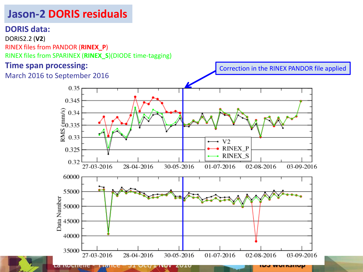## **Jason-2 DORIS residuals**

#### **DORIS data:**

DORIS2.2 (**V2**) RINEX files from PANDOR (**RINEX\_P**) RINEX files from SPARINEX (**RINEX\_S**)(DIODE time-tagging)

nvene.

Tance

#### **Time span processing:**



ZUIU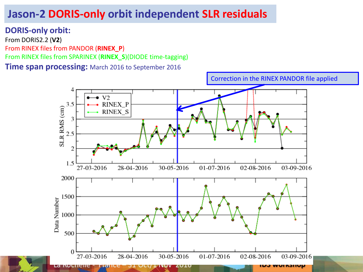## **Jason-2 DORIS-only orbit independent SLR residuals**

#### **DORIS-only orbit:**

From DORIS2.2 (**V2**) From RINEX files from PANDOR (**RINEX\_P**) From RINEX files from SPARINEX (**RINEX\_S**)(DIODE time-tagging) **Time span processing:** March 2016 to September 2016

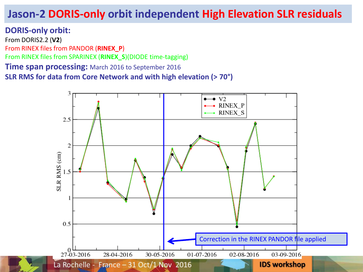## **Jason-2 DORIS-only orbit independent High Elevation SLR residuals**

#### **DORIS-only orbit:**

From DORIS2.2 (**V2**) From RINEX files from PANDOR (**RINEX\_P**) From RINEX files from SPARINEX (**RINEX\_S**)(DIODE time-tagging) **Time span processing:** March 2016 to September 2016 **SLR RMS for data from Core Network and with high elevation (> 70°)**

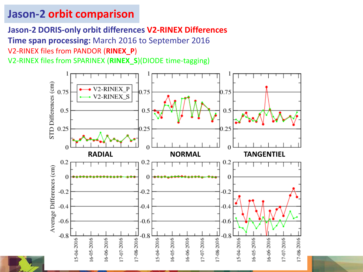## **Jason-2 orbit comparison**

**Jason-2 DORIS-only orbit differences V2-RINEX Differences**

**Time span processing:** March 2016 to September 2016

V2-RINEX files from PANDOR (**RINEX\_P**)

V2-RINEX files from SPARINEX (**RINEX\_S**)(DIODE time-tagging)

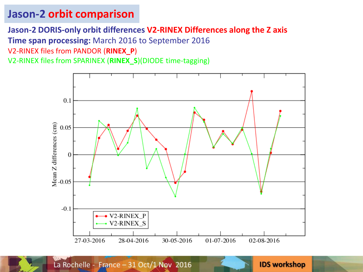### **Jason-2 orbit comparison**

#### **Jason-2 DORIS-only orbit differences V2-RINEX Differences along the Z axis**

**Time span processing:** March 2016 to September 2016

V2-RINEX files from PANDOR (**RINEX\_P**)

V2-RINEX files from SPARINEX (**RINEX\_S**)(DIODE time-tagging)

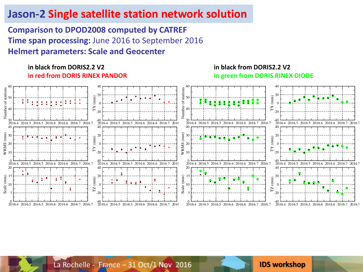### **Jason-2 Single satellite station network solution**

**Comparison to DPOD2008 computed by CATREF Time span processing:** June 2016 to September 2016 **Helmert parameters: Scale and Geocenter**

#### **in black from DORIS2.2 V2 in red from DORIS RINEX PANDOR**

**in black from DORIS2.2 V2 in green from DORIS RINEX DIODE**

**IDS workshop** 



La Rochelle - France - 31 Oct/1 Nov 2016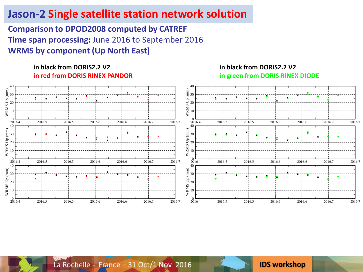### **Jason-2 Single satellite station network solution**

**Comparison to DPOD2008 computed by CATREF Time span processing:** June 2016 to September 2016 **WRMS by component (Up North East)**

#### **in black from DORIS2.2 V2 in red from DORIS RINEX PANDOR**



**IDS workshop** 



La Rochelle - France - 31 Oct/1 Nov 2016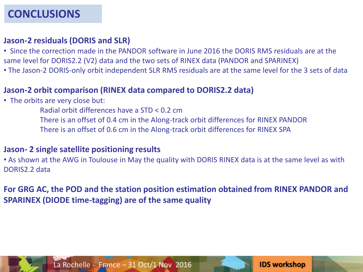#### **Jason-2 residuals (DORIS and SLR)**

- Since the correction made in the PANDOR software in June 2016 the DORIS RMS residuals are at the same level for DORIS2.2 (V2) data and the two sets of RINEX data (PANDOR and SPARINEX)
- The Jason-2 DORIS-only orbit independent SLR RMS residuals are at the same level for the 3 sets of data

#### **Jason-2 orbit comparison (RINEX data compared to DORIS2.2 data)**

- The orbits are very close but:
	- Radial orbit differences have a STD < 0.2 cm
	- There is an offset of 0.4 cm in the Along-track orbit differences for RINEX PANDOR
	- There is an offset of 0.6 cm in the Along-track orbit differences for RINEX SPA

#### **Jason- 2 single satellite positioning results**

• As shown at the AWG in Toulouse in May the quality with DORIS RINEX data is at the same level as with DORIS2.2 data

**For GRG AC, the POD and the station position estimation obtained from RINEX PANDOR and SPARINEX (DIODE time-tagging) are of the same quality** 



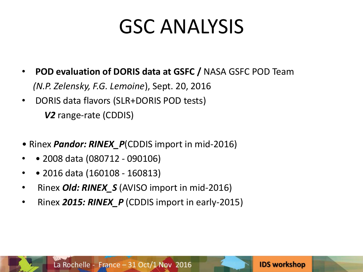## GSC ANALYSIS

- **POD evaluation of DORIS data at GSFC /** NASA GSFC POD Team  *(N.P. Zelensky, F.G. Lemoine*), Sept. 20, 2016
- DORIS data flavors (SLR+DORIS POD tests) *V2* range-rate (CDDIS)
- Rinex *Pandor: RINEX\_P*(CDDIS import in mid-2016)
- • 2008 data (080712 090106)
- • 2016 data (160108 160813)
- Rinex *Old: RINEX\_S* (AVISO import in mid-2016)
- Rinex *2015: RINEX\_P* (CDDIS import in early-2015)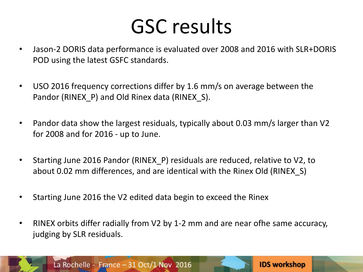## GSC results

- Jason-2 DORIS data performance is evaluated over 2008 and 2016 with SLR+DORIS POD using the latest GSFC standards.
- USO 2016 frequency corrections differ by 1.6 mm/s on average between the Pandor (RINEX\_P) and Old Rinex data (RINEX\_S).
- Pandor data show the largest residuals, typically about 0.03 mm/s larger than V2 for 2008 and for 2016 - up to June.
- Starting June 2016 Pandor (RINEX\_P) residuals are reduced, relative to V2, to about 0.02 mm differences, and are identical with the Rinex Old (RINEX\_S)
- Starting June 2016 the V2 edited data begin to exceed the Rinex
- RINEX orbits differ radially from V2 by 1-2 mm and are near ofhe same accuracy, judging by SLR residuals.

**IDS workshop** 

La Rochelle - France - 31 Oct/1 Nov 2016